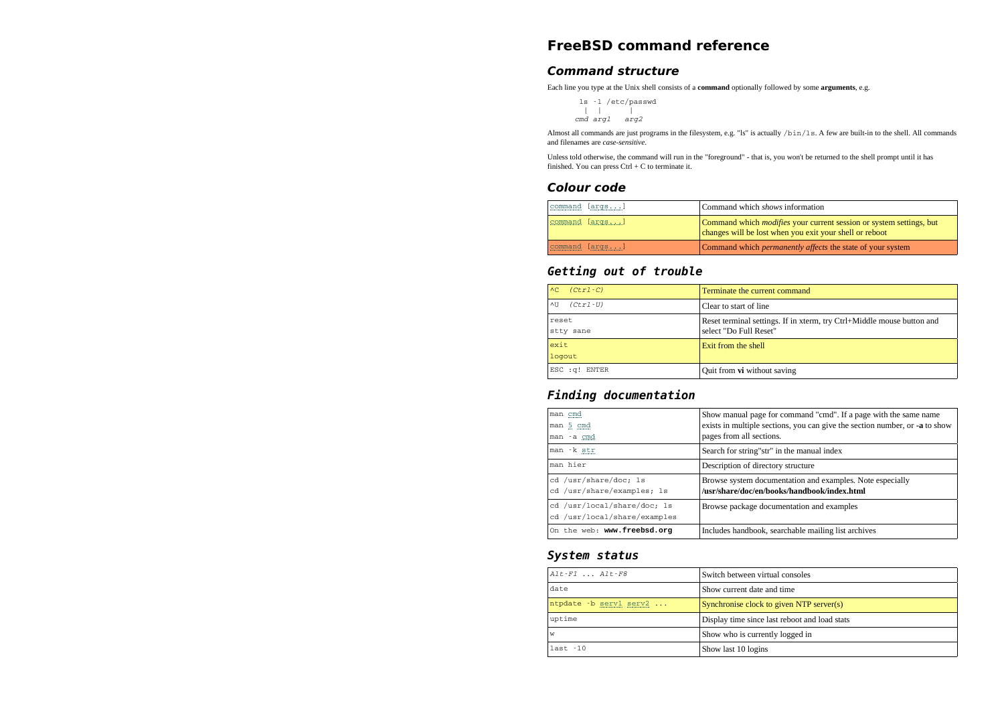## **FreeBSD command reference**

#### **Command structure**

Each line you type at the Unix shell consists of a **command** optionally followed by some **arguments**, e.g.

```
 ls -l /etc/passwd | | |
cmd arg1 arg2
```
Almost all commands are just programs in the filesystem, e.g. "ls" is actually /bin/1s. A few are built-in to the shell. All commands and filenames are *case-sensitive*.

Unless told otherwise, the command will run in the "foreground" - that is, you won't be returned to the shell prompt until it hasfinished. You can press Ctrl + C to terminate it.

#### **Colour code**

| command [args] | Command which <i>shows</i> information                                                                                                |
|----------------|---------------------------------------------------------------------------------------------------------------------------------------|
| command [args] | Command which <i>modifies</i> your current session or system settings, but<br>changes will be lost when you exit your shell or reboot |
| command [args] | Command which <i>permanently affects</i> the state of your system                                                                     |

## **Getting out of trouble**

| $(Ctr1-C)$<br>AC         | Terminate the current command                                                                    |
|--------------------------|--------------------------------------------------------------------------------------------------|
| $(Ctr1-U)$<br><b>ATT</b> | Clear to start of line                                                                           |
| reset<br>stty sane       | Reset terminal settings. If in xterm, try Ctrl+Middle mouse button and<br>select "Do Full Reset" |
| exit<br>logout           | Exit from the shell                                                                              |
| ESC : q! ENTER           | Quit from vi without saving                                                                      |

### **Finding documentation**

| man cmd<br>man 5 cmd<br>man -a cmd                          | Show manual page for command "cmd". If a page with the same name<br>exists in multiple sections, you can give the section number, or -a to show<br>pages from all sections. |
|-------------------------------------------------------------|-----------------------------------------------------------------------------------------------------------------------------------------------------------------------------|
| man -k str                                                  | Search for string"str" in the manual index                                                                                                                                  |
| man hier                                                    | Description of directory structure                                                                                                                                          |
| cd /usr/share/doc; 1s<br>cd /usr/share/examples; 1s         | Browse system documentation and examples. Note especially<br>/usr/share/doc/en/books/handbook/index.html                                                                    |
| cd /usr/local/share/doc: 1s<br>cd /usr/local/share/examples | Browse package documentation and examples                                                                                                                                   |
| On the web: www.freebsd.org                                 | Includes handbook, searchable mailing list archives                                                                                                                         |

### **System status**

| $Alt$ - $F1$ $Alt$ - $F8$ | Switch between virtual consoles               |
|---------------------------|-----------------------------------------------|
| date                      | Show current date and time                    |
| ntpdate -b serv1 serv2    | Synchronise clock to given NTP server(s)      |
| uptime                    | Display time since last reboot and load stats |
| W                         | Show who is currently logged in               |
| $last - 10$               | Show last 10 logins                           |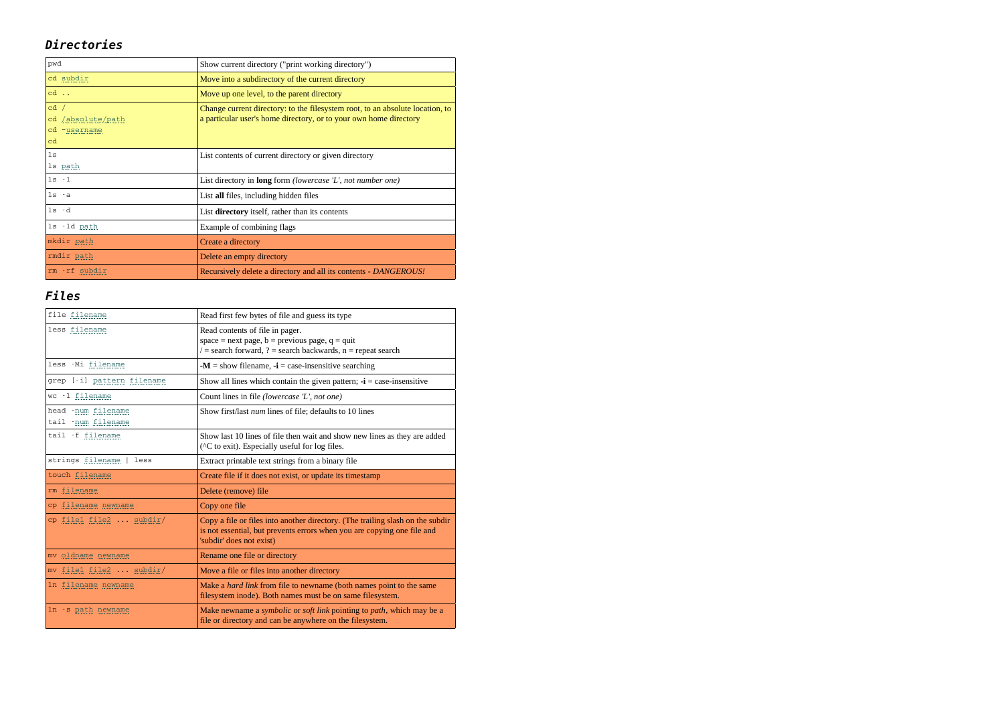## **Directories**

| pwd                                             | Show current directory ("print working directory")                                                                                                 |
|-------------------------------------------------|----------------------------------------------------------------------------------------------------------------------------------------------------|
| cd subdir                                       | Move into a subdirectory of the current directory                                                                                                  |
| cd                                              | Move up one level, to the parent directory                                                                                                         |
| cd /<br>cd /absolute/path<br>cd ~username<br>cd | Change current directory: to the filesystem root, to an absolute location, to<br>a particular user's home directory, or to your own home directory |
| 1s<br>1s path                                   | List contents of current directory or given directory                                                                                              |
| $1s - 1$                                        | List directory in <b>long</b> form <i>(lowercase 'L', not number one)</i>                                                                          |
| $1s - a$                                        | List all files, including hidden files                                                                                                             |
| $ls - d$                                        | List directory itself, rather than its contents                                                                                                    |
| 1s -1d path                                     | Example of combining flags                                                                                                                         |
| mkdir path                                      | Create a directory                                                                                                                                 |
| rmdir path                                      | Delete an empty directory                                                                                                                          |
| rm - rf subdir                                  | Recursively delete a directory and all its contents - DANGEROUS!                                                                                   |

# **Files**

| file filename                             | Read first few bytes of file and guess its type                                                                                                                                       |
|-------------------------------------------|---------------------------------------------------------------------------------------------------------------------------------------------------------------------------------------|
| less filename                             | Read contents of file in pager.<br>space = next page, $b$ = previous page, $q$ = quit<br>$\ell$ = search forward, ? = search backwards, $n$ = repeat search                           |
| less -Mi filename                         | $\mathbf{M}$ = show filename, $\mathbf{u}$ = case-insensitive searching                                                                                                               |
| grep [-i] pattern filename                | Show all lines which contain the given pattern; $\mathbf{-i}$ = case-insensitive                                                                                                      |
| wc -1 filename                            | Count lines in file (lowercase 'L', not one)                                                                                                                                          |
| head -num filename<br>tail - num filename | Show first/last num lines of file; defaults to 10 lines                                                                                                                               |
| tail -f filename                          | Show last 10 lines of file then wait and show new lines as they are added<br>(^C to exit). Especially useful for log files.                                                           |
| strings filename<br>less                  | Extract printable text strings from a binary file                                                                                                                                     |
|                                           |                                                                                                                                                                                       |
| touch filename                            | Create file if it does not exist, or update its timestamp                                                                                                                             |
| rm filename                               | Delete (remove) file                                                                                                                                                                  |
| cp filename newname                       | Copy one file                                                                                                                                                                         |
| cp file1 file2  subdir/                   | Copy a file or files into another directory. (The trailing slash on the subdir<br>is not essential, but prevents errors when you are copying one file and<br>'subdir' does not exist) |
| mv oldname newname                        | Rename one file or directory                                                                                                                                                          |
| mv file1 file2 subdir/                    | Move a file or files into another directory                                                                                                                                           |
| In filename newname                       | Make a <i>hard link</i> from file to newname (both names point to the same<br>filesystem inode). Both names must be on same filesystem.                                               |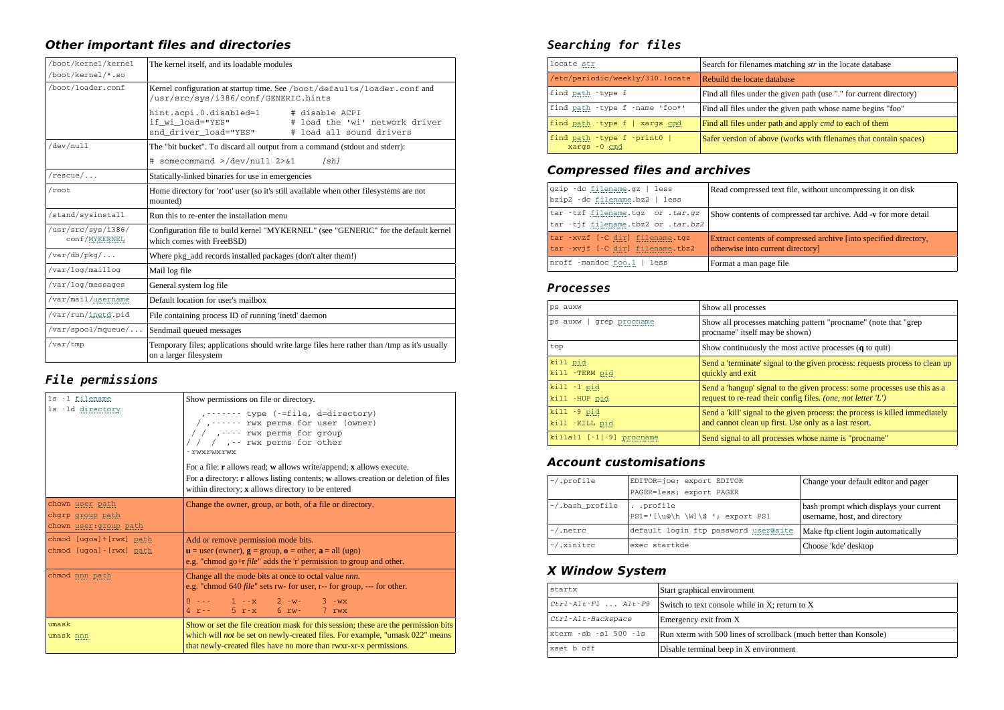## **Other important files and directories**

| /boot/kernel/kernel                 | The kernel itself, and its loadable modules                                                                                                         |  |
|-------------------------------------|-----------------------------------------------------------------------------------------------------------------------------------------------------|--|
| /boot/kernel/*.so                   |                                                                                                                                                     |  |
| /boot/loader.conf                   | Kernel configuration at startup time. See /boot/defaults/loader.conf and<br>/usr/src/sys/i386/conf/GENERIC.hints                                    |  |
|                                     | hint.acpi.0.disabled=1<br># disable ACPI<br># load the 'wi' network driver<br>if wi load="YES"<br>snd driver load="YES"<br># load all sound drivers |  |
| /dev/null                           | The "bit bucket". To discard all output from a command (stdout and stderr):                                                                         |  |
|                                     | # somecommand >/dev/null 2>&1<br>[sh]                                                                                                               |  |
| $/rescue/$                          | Statically-linked binaries for use in emergencies                                                                                                   |  |
| /root                               | Home directory for 'root' user (so it's still available when other filesystems are not<br>mounted)                                                  |  |
| /stand/sysinstall                   | Run this to re-enter the installation menu                                                                                                          |  |
| /usr/src/sys/i386/<br>conf/MYKERNEL | Configuration file to build kernel "MYKERNEL" (see "GENERIC" for the default kernel<br>which comes with FreeBSD)                                    |  |
| $/var/db/pkq/$                      | Where pkg_add records installed packages (don't alter them!)                                                                                        |  |
| /var/log/maillog                    | Mail log file                                                                                                                                       |  |
| /var/log/messages                   | General system log file                                                                                                                             |  |
| /var/mail/username                  | Default location for user's mailbox                                                                                                                 |  |
| /var/run/inetd.pid                  | File containing process ID of running 'inetd' daemon                                                                                                |  |
| /var/spool/mqueue/                  | Sendmail queued messages                                                                                                                            |  |
| /var/tmp                            | Temporary files; applications should write large files here rather than /tmp as it's usually<br>on a larger filesystem                              |  |

## **File permissions**

| 1s -1 filename                                         | Show permissions on file or directory.                                                                                                                                                                                                         |  |
|--------------------------------------------------------|------------------------------------------------------------------------------------------------------------------------------------------------------------------------------------------------------------------------------------------------|--|
| 1s -1d directory                                       | $, \dots \dots$ type (-=file, d=directory)<br>$/$ , $\cdots$ rwx perms for user (owner)<br>/ / $, \cdots$ rwx perms for group<br>/ / /  rwx perms for other<br>- rwxrwxrwx                                                                     |  |
|                                                        | For a file: $\mathbf r$ allows read; w allows write/append; x allows execute.<br>For a directory: <b>r</b> allows listing contents; <b>w</b> allows creation or deletion of files<br>within directory; x allows directory to be entered        |  |
| chown user path                                        | Change the owner, group, or both, of a file or directory.                                                                                                                                                                                      |  |
| chgrp group path<br>chown user: group path             |                                                                                                                                                                                                                                                |  |
| chmod [ugoa] + [rwx] path<br>chmod [ugoa] - [rwx] path | Add or remove permission mode bits.<br>$\mathbf{u}$ = user (owner), $\mathbf{g}$ = group, $\mathbf{o}$ = other, $\mathbf{a}$ = all (ugo)<br>e.g. "chmod go+r $file$ " adds the 'r' permission to group and other.                              |  |
| chmod nnn path                                         | Change all the mode bits at once to octal value nnn.<br>e.g. "chmod 640 <i>file</i> " sets rw- for user, r-- for group, --- for other.                                                                                                         |  |
|                                                        | $0 \rightarrow  1 \rightarrow -x$ $2 \rightarrow w$ $3 \rightarrow wx$<br>$4 r - 5 r - x 6 r - 7 r$                                                                                                                                            |  |
| umask<br>umask nnn                                     | Show or set the file creation mask for this session; these are the permission bits<br>which will <i>not</i> be set on newly-created files. For example, "umask 022" means<br>that newly-created files have no more than rwxr-xr-x permissions. |  |

## **Searching for files**

| locate str                                     | Search for filenames matching str in the locate database            |
|------------------------------------------------|---------------------------------------------------------------------|
| /etc/periodic/weekly/310.locate                | Rebuild the locate database                                         |
| find path - type f                             | Find all files under the given path (use "." for current directory) |
| find path - type f - name 'foo*'               | Find all files under the given path whose name begins "foo"         |
| find path -type f   xargs cmd                  | Find all files under path and apply cmd to each of them             |
| find path -type f -print0  <br>$xargs - 0 cmd$ | Safer version of above (works with filenames that contain spaces)   |

## **Compressed files and archives**

| gzip -dc filename.gz   less        | Read compressed text file, without uncompressing it on disk       |
|------------------------------------|-------------------------------------------------------------------|
| bzip2 -dc filename.bz2   less      |                                                                   |
| tar -tzf filename.tgz or .tar.gz   | Show contents of compressed tar archive. Add -v for more detail   |
| tar -tjf filename.tbz2 or .tar.bz2 |                                                                   |
| tar -xvzf [-C dir] filename.tgz    | Extract contents of compressed archive finto specified directory, |
| tar -xvif [-C dir] filename.tbz2   | otherwise into current directory]                                 |
| nroff -mandoc foo.1   less         | Format a man page file                                            |

## **Processes**

| ps auxw                           | Show all processes                                                                                                                        |
|-----------------------------------|-------------------------------------------------------------------------------------------------------------------------------------------|
| ps auxw   grep procname           | Show all processes matching pattern "procname" (note that "grep")<br>procname" itself may be shown)                                       |
| top                               | Show continuously the most active processes (q to quit)                                                                                   |
| kill pid<br>kill -TERM pid        | Send a 'terminate' signal to the given process: requests process to clean up<br>quickly and exit                                          |
| $kil1 - 1$ pid<br>kill -HUP pid   | Send a 'hangup' signal to the given process: some processes use this as a<br>request to re-read their config files. (one, not letter 'L') |
| $kil1 - 9$ pid<br>kill - KILL pid | Send a 'kill' signal to the given process: the process is killed immediately<br>and cannot clean up first. Use only as a last resort.     |
| $killall$ $[-1]-9]$ procname      | Send signal to all processes whose name is "procname"                                                                                     |

## **Account customisations**

| $\sim$ /.profile      | EDITOR=joe; export EDITOR<br>PAGER=less; export PAGER          | Change your default editor and pager                                     |
|-----------------------|----------------------------------------------------------------|--------------------------------------------------------------------------|
| $\sim$ /.bash profile | . .profile<br>$PS1 = \lceil \u\omega \hceil \W \$ ; export PS1 | bash prompt which displays your current<br>username, host, and directory |
| $\sim$ /.netrc        | default login ftp password user@site                           | Make ftp client login automatically                                      |
| $\sim$ /.xinitrc      | exec startkde                                                  | Choose 'kde' desktop                                                     |

## **X Window System**

| startx                 | Start graphical environment                                       |
|------------------------|-------------------------------------------------------------------|
| $Ctrl$ -Alt-F1  Alt-F9 | Switch to text console while in X; return to X                    |
| Ctrl-Alt-Backspace     | Emergency exit from X                                             |
| xterm -sb -sl 500 -ls  | Run xterm with 500 lines of scrollback (much better than Konsole) |
| xset b off             | Disable terminal beep in X environment                            |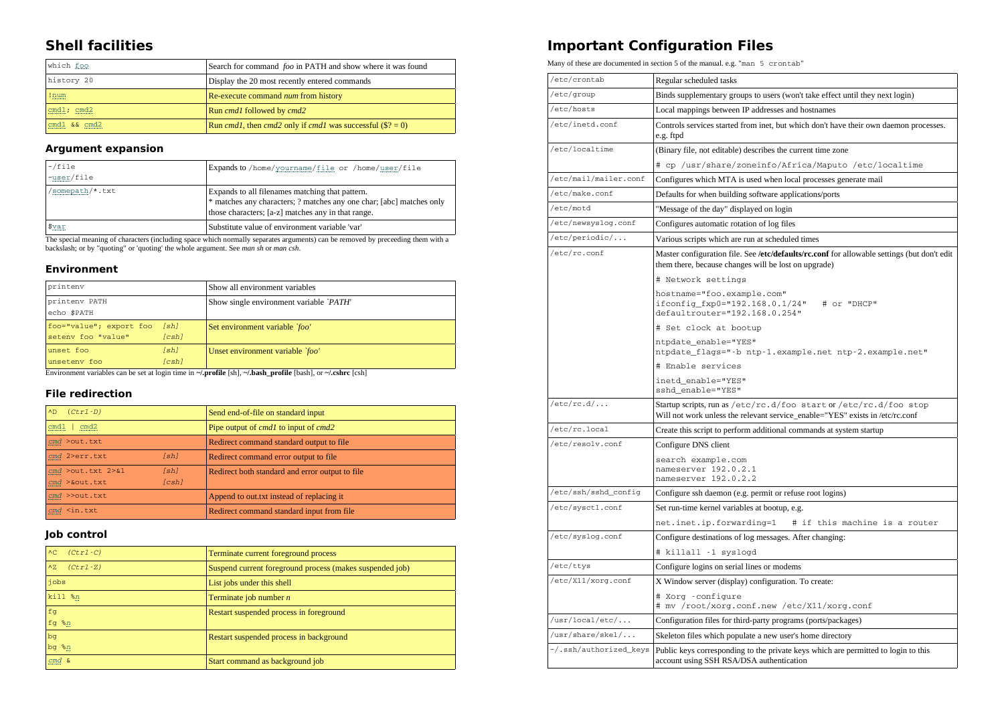## **Shell facilities**

| which foo           | Search for command foo in PATH and show where it was found                        |
|---------------------|-----------------------------------------------------------------------------------|
| history 20          | Display the 20 most recently entered commands                                     |
| ! num<br>-----      | Re-execute command <i>num</i> from history                                        |
| cmd1; cmd2          | Run cmd1 followed by cmd2                                                         |
| cmd $1 \&x$ cmd $2$ | Run <i>cmd1</i> , then <i>cmd2</i> only if <i>cmd1</i> was successful $(\$? = 0)$ |

#### **Argument expansion**

| $\sim$ /file<br>$\nu$ user/file | Expands to /home/yourname/file or /home/user/file                                                                                                                             |
|---------------------------------|-------------------------------------------------------------------------------------------------------------------------------------------------------------------------------|
| 'somepath/*.txt                 | Expands to all filenames matching that pattern.<br>* matches any characters; ? matches any one char; [abc] matches only<br>those characters; [a-z] matches any in that range. |
| \$var                           | Substitute value of environment variable 'var'                                                                                                                                |

The special meaning of characters (including space which normally separates arguments) can be removed by preceeding them with abackslash; or by "quoting" or 'quoting' the whole argument. See *man sh* or *man csh*.

#### **Environment**

|                              | printenv                                           |               | Show all environment variables               |
|------------------------------|----------------------------------------------------|---------------|----------------------------------------------|
| printenv PATH<br>echo \$PATH |                                                    |               | Show single environment variable <i>PATH</i> |
|                              | foo="value"; export foo [sh]<br>seteny foo "value" | (csh)         | Set environment variable <i>`foo'</i>        |
|                              | unset foo<br>unseteny foo                          | [sh]<br>[csh] | Unset environment variable <i>`foo'</i>      |

Environment variables can be set at login time in **~/.profile** [sh], **~/.bash\_profile** [bash], or **~/.cshrc** [csh]

#### **File redirection**

| $(Ctr1-D)$<br>AD              | Send end-of-file on standard input                 |
|-------------------------------|----------------------------------------------------|
| cmd1<br>cmd2                  | Pipe output of <i>cmdl</i> to input of <i>cmd2</i> |
| cmd >out.txt                  | Redirect command standard output to file           |
| cmd 2>err.txt<br>[sh]         | Redirect command error output to file              |
| $cmd >out.txt$ 2>&1<br>[sh]   | Redirect both standard and error output to file.   |
| [csh]<br>$cmd >$ $&$ out .txt |                                                    |
| $cmd$ >>out.txt               | Append to out txt instead of replacing it          |
| $cmd \leq in.txt$             | Redirect command standard input from file          |

#### **Job control**

| $(Ctr1-C)$<br>AC         | Terminate current foreground process                     |
|--------------------------|----------------------------------------------------------|
| $(Ctr1-Z)$<br>$\wedge Z$ | Suspend current foreground process (makes suspended job) |
| jobs                     | List jobs under this shell                               |
| $kil1$ %n                | Terminate job number $n$                                 |
| f <sub>g</sub>           | Restart suspended process in foreground                  |
| fg $n$                   |                                                          |
| bg                       | Restart suspended process in background                  |
| $bg$ $n$                 |                                                          |
| cmd &                    | Start command as background job                          |

## **Important Configuration Files**

Many of these are documented in section 5 of the manual. e.g. "man 5 crontab"

| /etc/crontab             | Regular scheduled tasks                                                                                                                             |
|--------------------------|-----------------------------------------------------------------------------------------------------------------------------------------------------|
| /etc/group               | Binds supplementary groups to users (won't take effect until they next login)                                                                       |
| /etc/hosts               | Local mappings between IP addresses and hostnames                                                                                                   |
| /etc/inetd.conf          | Controls services started from inet, but which don't have their own daemon processes.<br>e.g. ftpd                                                  |
| /etc/localtime           | (Binary file, not editable) describes the current time zone                                                                                         |
|                          | # cp /usr/share/zoneinfo/Africa/Maputo /etc/localtime                                                                                               |
| /etc/mail/mailer.conf    | Configures which MTA is used when local processes generate mail                                                                                     |
| /etc/make.conf           | Defaults for when building software applications/ports                                                                                              |
| /etc/motd                | "Message of the day" displayed on login                                                                                                             |
| /etc/newsyslog.conf      | Configures automatic rotation of log files                                                                                                          |
| /etc/periodic/           | Various scripts which are run at scheduled times                                                                                                    |
| /etc/rc.conf             | Master configuration file. See /etc/defaults/rc.conf for allowable settings (but don't edit<br>them there, because changes will be lost on upgrade) |
|                          | # Network settings                                                                                                                                  |
|                          | hostname="foo.example.com"<br>ifconfig_fxp0="192.168.0.1/24" # or "DHCP"<br>defaultrouter="192.168.0.254"                                           |
|                          | # Set clock at bootup                                                                                                                               |
|                          | ntpdate_enable="YES"<br>ntpdate_flags="-b ntp-1.example.net ntp-2.example.net"                                                                      |
|                          | # Enable services                                                                                                                                   |
|                          | inetd_enable="YES"<br>sshd_enable="YES"                                                                                                             |
| /etcirc.d/               | Startup scripts, run as /etc/rc.d/foo start or /etc/rc.d/foo stop<br>Will not work unless the relevant service_enable="YES" exists in /etc/rc.conf  |
| /etc/rc.local            | Create this script to perform additional commands at system startup                                                                                 |
| /etc/resolv.conf         | Configure DNS client                                                                                                                                |
|                          | search example.com<br>nameserver 192.0.2.1<br>nameserver 192.0.2.2                                                                                  |
| /etc/ssh/sshd_config     | Configure ssh daemon (e.g. permit or refuse root logins)                                                                                            |
| /etc/sysctl.conf         | Set run-time kernel variables at bootup, e.g.                                                                                                       |
|                          | net.inet.ip.forwarding=1 # if this machine is a router                                                                                              |
| /etc/syslog.conf         | Configure destinations of log messages. After changing:                                                                                             |
|                          | # killall -1 syslogd                                                                                                                                |
| /etc/ttys                | Configure logins on serial lines or modems                                                                                                          |
| /etc/X11/xorg.conf       | X Window server (display) configuration. To create:                                                                                                 |
|                          | # Xorg -configure<br># mv /root/xorg.conf.new /etc/X11/xorg.conf                                                                                    |
| /usr/local/etc/          | Configuration files for third-party programs (ports/packages)                                                                                       |
| $\sqrt{usr/share/skel/}$ | Skeleton files which populate a new user's home directory                                                                                           |
| ~/.ssh/authorized_keys   | Public keys corresponding to the private keys which are permitted to login to this<br>account using SSH RSA/DSA authentication                      |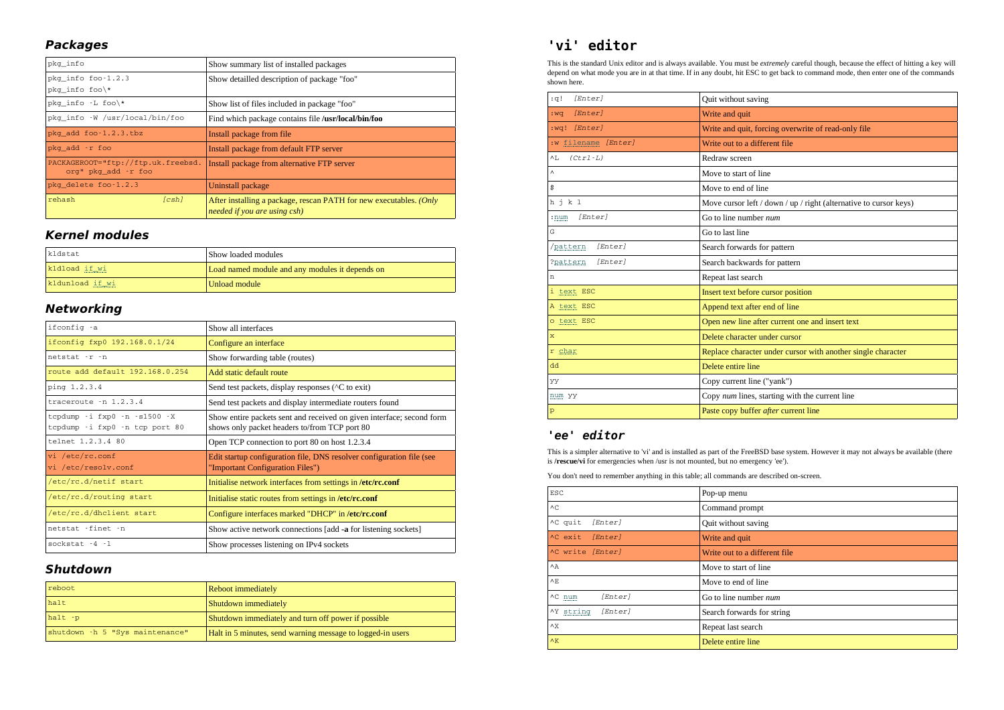### **Packages**

| pkg info                                                  | Show summary list of installed packages                                                            |
|-----------------------------------------------------------|----------------------------------------------------------------------------------------------------|
| pkg info foo-1.2.3<br>pkg info foo\*                      | Show detailled description of package "foo"                                                        |
| pkg info -L foo\*                                         | Show list of files included in package "foo"                                                       |
| pkg info -W /usr/local/bin/foo                            | Find which package contains file /usr/local/bin/foo                                                |
| pkg add foo-1.2.3.tbz                                     | Install package from file.                                                                         |
| pkg add -r foo                                            | Install package from default FTP server                                                            |
| PACKAGEROOT="ftp://ftp.uk.freebsd.<br>org" pkg add -r foo | Install package from alternative FTP server                                                        |
| pkg delete foo-1.2.3                                      | Uninstall package                                                                                  |
| rehash<br>[csh]                                           | After installing a package, rescan PATH for new executables. (Only<br>needed if you are using csh) |

### **Kernel modules**

| kldstat                                   | Show loaded modules                             |
|-------------------------------------------|-------------------------------------------------|
| kldload if wi                             | Load named module and any modules it depends on |
| kldunload if wi<br>$10100000000000000000$ | Unload module                                   |

### **Networking**

| ifconfig -a                                                    | Show all interfaces                                                                                                    |
|----------------------------------------------------------------|------------------------------------------------------------------------------------------------------------------------|
| ifconfig fxp0 192.168.0.1/24                                   | Configure an interface                                                                                                 |
| netstat -r -n                                                  | Show forwarding table (routes)                                                                                         |
| route add default 192.168.0.254                                | Add static default route                                                                                               |
| ping 1.2.3.4                                                   | Send test packets, display responses ( $\textdegree$ C to exit)                                                        |
| $traceoute - n 1.2.3.4$                                        | Send test packets and display intermediate routers found                                                               |
| tcpdump -i fxp0 -n -s1500 -X<br>tcpdump -i fxp0 -n tcp port 80 | Show entire packets sent and received on given interface; second form<br>shows only packet headers to/from TCP port 80 |
| telnet 1.2.3.4 80                                              | Open TCP connection to port 80 on host 1.2.3.4                                                                         |
| vi /etc/rc.conf<br>vi /etc/resolv.conf                         | Edit startup configuration file, DNS resolver configuration file (see                                                  |
|                                                                | "Important Configuration Files")                                                                                       |
| /etc/rc.d/netif start                                          | Initialise network interfaces from settings in /etc/rc.conf                                                            |
| /etc/rc.d/routing start                                        | Initialise static routes from settings in /etc/rc.conf                                                                 |
| /etc/rc.d/dhclient start                                       | Configure interfaces marked "DHCP" in /etc/rc.conf                                                                     |
| netstat -finet -n                                              | Show active network connections [add -a for listening sockets]                                                         |

### **Shutdown**

| reboot                          | <b>Reboot immediately</b>                                  |
|---------------------------------|------------------------------------------------------------|
| halt                            | Shutdown immediately                                       |
| $halt -p$                       | Shutdown immediately and turn off power if possible        |
| shutdown -h 5 "Sys maintenance" | Halt in 5 minutes, send warning message to logged-in users |

# **'vi' editor**

 This is the standard Unix editor and is always available. You must be *extremely* careful though, because the effect of hitting a key will depend on what mode you are in at that time. If in any doubt, hit ESC to get back to command mode, then enter one of the commandsshown here.

| [Enter]<br>:q!      | Quit without saving                                                 |
|---------------------|---------------------------------------------------------------------|
| [Enter]<br>: wa     | Write and quit                                                      |
| [Enter]<br>:wa!     | Write and quit, forcing overwrite of read-only file                 |
| :w filename [Enter] | Write out to a different file                                       |
| $(Ctr1-L)$<br>^L    | Redraw screen                                                       |
| $\wedge$            | Move to start of line                                               |
| \$                  | Move to end of line                                                 |
| h j k 1             | Move cursor left / down / $up$ / right (alternative to cursor keys) |
| [Enter]<br>$: num$  | Go to line number num                                               |
| G                   | Go to last line                                                     |
| /pattern<br>[Enter] | Search forwards for pattern                                         |
| [Enter]<br>?pattern | Search backwards for pattern                                        |
| n                   | Repeat last search                                                  |
| i text ESC          | Insert text before cursor position                                  |
| A text ESC          | Append text after end of line                                       |
| o text ESC          | Open new line after current one and insert text                     |
| $\mathbf{x}$        | Delete character under cursor                                       |
| r char              | Replace character under cursor with another single character        |
| 6b                  | Delete entire line                                                  |
| УУ                  | Copy current line ("yank")                                          |
| num yy              | Copy num lines, starting with the current line                      |
| p                   | Paste copy buffer after current line                                |

## **'ee' editor**

 This is a simpler alternative to 'vi' and is installed as part of the FreeBSD base system. However it may not always be available (thereis **/rescue/vi** for emergencies when /usr is not mounted, but no emergency 'ee').

You don't need to remember anything in this table; all commands are described on-screen.

| <b>ESC</b>           | Pop-up menu                   |
|----------------------|-------------------------------|
| AC                   | Command prompt                |
| ^C quit<br>[Enter]   | Quit without saving           |
| ^C exit<br>[Enter]   | Write and quit                |
| ^C write [Enter]     | Write out to a different file |
| $\wedge$ $\wedge$    | Move to start of line         |
| ΛF.                  | Move to end of line           |
| [Enter]<br>AC num    | Go to line number num         |
| [Enter]<br>^Y string | Search forwards for string    |
| $\wedge$ X           | Repeat last search            |
| $\wedge$ K           | Delete entire line            |